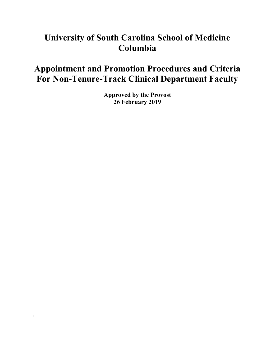# **University of South Carolina School of Medicine Columbia**

# **Appointment and Promotion Procedures and Criteria For Non-Tenure-Track Clinical Department Faculty**

**Approved by the Provost 26 February 2019**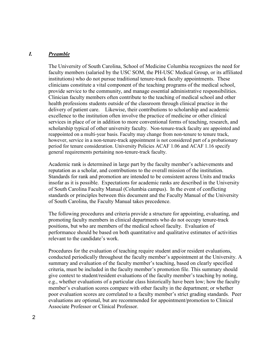#### *I. Preamble*

The University of South Carolina, School of Medicine Columbia recognizes the need for faculty members (salaried by the USC SOM, the PH-USC Medical Group, or its affiliated institutions) who do not pursue traditional tenure-track faculty appointments. These clinicians constitute a vital component of the teaching programs of the medical school, provide service to the community, and manage essential administrative responsibilities. Clinician faculty members often contribute to the teaching of medical school and other health professions students outside of the classroom through clinical practice in the delivery of patient care. Likewise, their contributions to scholarship and academic excellence to the institution often involve the practice of medicine or other clinical services in place of or in addition to more conventional forms of teaching, research, and scholarship typical of other university faculty. Non-tenure-track faculty are appointed and reappointed on a multi-year basis. Faculty may change from non-tenure to tenure track, however, service in a non-tenure-track appointment is not considered part of a probationary period for tenure consideration. University Policies ACAF 1.06 and ACAF 1.16 specify general requirements pertaining non-tenure-track faculty.

Academic rank is determined in large part by the faculty member's achievements and reputation as a scholar, and contributions to the overall mission of the institution. Standards for rank and promotion are intended to be consistent across Units and tracks insofar as it is possible. Expectations for academic ranks are described in the University of South Carolina Faculty Manual (Columbia campus). In the event of conflicting standards or principles between this document and the Faculty Manual of the University of South Carolina, the Faculty Manual takes precedence.

The following procedures and criteria provide a structure for appointing, evaluating, and promoting faculty members in clinical departments who do not occupy tenure-track positions, but who are members of the medical school faculty. Evaluation of performance should be based on both quantitative and qualitative estimates of activities relevant to the candidate's work.

Procedures for the evaluation of teaching require student and/or resident evaluations, conducted periodically throughout the faculty member's appointment at the University. A summary and evaluation of the faculty member's teaching, based on clearly specified criteria, must be included in the faculty member's promotion file. This summary should give context to student/resident evaluations of the faculty member's teaching by noting, e.g., whether evaluations of a particular class historically have been low; how the faculty member's evaluation scores compare with other faculty in the department; or whether poor evaluation scores are correlated to a faculty member's strict grading standards. Peer evaluations are optional, but are recommended for appointment/promotion to Clinical Associate Professor or Clinical Professor.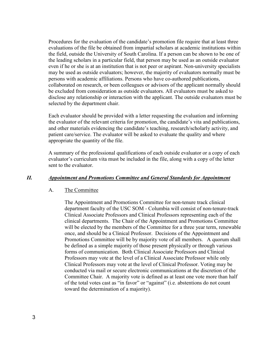Procedures for the evaluation of the candidate's promotion file require that at least three evaluations of the file be obtained from impartial scholars at academic institutions within the field, outside the University of South Carolina. If a person can be shown to be one of the leading scholars in a particular field, that person may be used as an outside evaluator even if he or she is at an institution that is not peer or aspirant. Non-university specialists may be used as outside evaluators; however, the majority of evaluators normally must be persons with academic affiliations. Persons who have co-authored publications, collaborated on research, or been colleagues or advisors of the applicant normally should be excluded from consideration as outside evaluators. All evaluators must be asked to disclose any relationship or interaction with the applicant. The outside evaluators must be selected by the department chair.

Each evaluator should be provided with a letter requesting the evaluation and informing the evaluator of the relevant criteria for promotion, the candidate's vita and publications, and other materials evidencing the candidate's teaching, research/scholarly activity, and patient care/service. The evaluator will be asked to evaluate the quality and where appropriate the quantity of the file.

A summary of the professional qualifications of each outside evaluator or a copy of each evaluator's curriculum vita must be included in the file, along with a copy of the letter sent to the evaluator.

#### *II. Appointment and Promotions Committee and General Standards for Appointment*

#### A. The Committee

The Appointment and Promotions Committee for non-tenure track clinical department faculty of the USC SOM - Columbia will consist of non-tenure-track Clinical Associate Professors and Clinical Professors representing each of the clinical departments. The Chair of the Appointment and Promotions Committee will be elected by the members of the Committee for a three year term, renewable once, and should be a Clinical Professor. Decisions of the Appointment and Promotions Committee will be by majority vote of all members. A quorum shall be defined as a simple majority of those present physically or through various forms of communication. Both Clinical Associate Professors and Clinical Professors may vote at the level of a Clinical Associate Professor while only Clinical Professors may vote at the level of Clinical Professor. Voting may be conducted via mail or secure electronic communications at the discretion of the Committee Chair. A majority vote is defined as at least one vote more than half of the total votes cast as "in favor" or "against" (i.e. abstentions do not count toward the determination of a majority).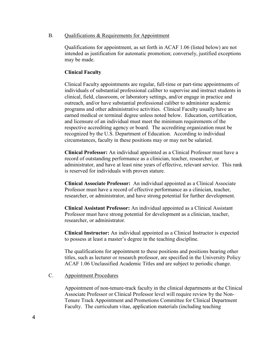### B. Qualifications & Requirements for Appointment

Qualifications for appointment, as set forth in ACAF 1.06 (listed below) are not intended as justification for automatic promotion; conversely, justified exceptions may be made.

## **Clinical Faculty**

Clinical Faculty appointments are regular, full-time or part-time appointments of individuals of substantial professional caliber to supervise and instruct students in clinical, field, classroom, or laboratory settings, and/or engage in practice and outreach, and/or have substantial professional caliber to administer academic programs and other administrative activities. Clinical Faculty usually have an earned medical or terminal degree unless noted below. Education, certification, and licensure of an individual must meet the minimum requirements of the respective accrediting agency or board. The accrediting organization must be recognized by the U.S. Department of Education. According to individual circumstances, faculty in these positions may or may not be salaried.

**Clinical Professor:** An individual appointed as a Clinical Professor must have a record of outstanding performance as a clinician, teacher, researcher, or administrator, and have at least nine years of effective, relevant service. This rank is reserved for individuals with proven stature.

**Clinical Associate Professor:** An individual appointed as a Clinical Associate Professor must have a record of effective performance as a clinician, teacher, researcher, or administrator, and have strong potential for further development.

**Clinical Assistant Professor:** An individual appointed as a Clinical Assistant Professor must have strong potential for development as a clinician, teacher, researcher, or administrator.

**Clinical Instructor:** An individual appointed as a Clinical Instructor is expected to possess at least a master's degree in the teaching discipline.

The qualifications for appointment to these positions and positions bearing other titles, such as lecturer or research professor, are specified in the University Policy ACAF 1.06 Unclassified Academic Titles and are subject to periodic change.

### C. Appointment Procedures

Appointment of non-tenure-track faculty in the clinical departments at the Clinical Associate Professor or Clinical Professor level will require review by the Non-Tenure Track Appointment and Promotions Committee for Clinical Department Faculty. The curriculum vitae, application materials (including teaching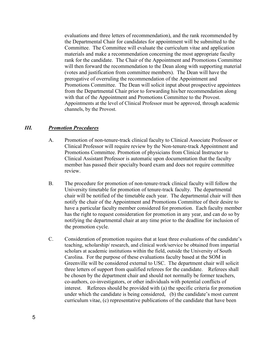evaluations and three letters of recommendation), and the rank recommended by the Departmental Chair for candidates for appointment will be submitted to the Committee. The Committee will evaluate the curriculum vitae and application materials and make a recommendation concerning the most appropriate faculty rank for the candidate. The Chair of the Appointment and Promotions Committee will then forward the recommendation to the Dean along with supporting material (votes and justification from committee members). The Dean will have the prerogative of overruling the recommendation of the Appointment and Promotions Committee. The Dean will solicit input about prospective appointees from the Departmental Chair prior to forwarding his/her recommendation along with that of the Appointment and Promotions Committee to the Provost. Appointments at the level of Clinical Professor must be approved, through academic channels, by the Provost.

#### *III. Promotion Procedures*

- A. Promotion of non-tenure-track clinical faculty to Clinical Associate Professor or Clinical Professor will require review by the Non-tenure-track Appointment and Promotions Committee. Promotion of physicians from Clinical Instructor to Clinical Assistant Professor is automatic upon documentation that the faculty member has passed their specialty board exam and does not require committee review.
- B. The procedure for promotion of non-tenure-track clinical faculty will follow the University timetable for promotion of tenure-track faculty. The departmental chair will be notified of the timetable each year. The departmental chair will then notify the chair of the Appointment and Promotions Committee of their desire to have a particular faculty member considered for promotion. Each faculty member has the right to request consideration for promotion in any year, and can do so by notifying the departmental chair at any time prior to the deadline for inclusion of the promotion cycle.
- C. Consideration of promotion requires that at least three evaluations of the candidate's teaching, scholarship/ research, and clinical work/service be obtained from impartial scholars at academic institutions within the field, outside the University of South Carolina. For the purpose of these evaluations faculty based at the SOM in Greenville will be considered external to USC. The department chair will solicit three letters of support from qualified referees for the candidate. Referees shall be chosen by the department chair and should not normally be former teachers, co-authors, co-investigators, or other individuals with potential conflicts of interest. Referees should be provided with (a) the specific criteria for promotion under which the candidate is being considered, (b) the candidate's most current curriculum vitae, (c) representative publications of the candidate that have been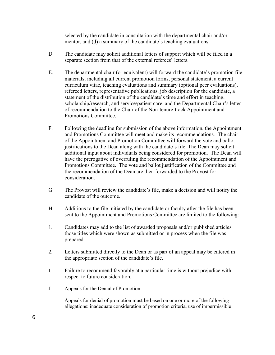selected by the candidate in consultation with the departmental chair and/or mentor, and (d) a summary of the candidate's teaching evaluations.

- D. The candidate may solicit additional letters of support which will be filed in a separate section from that of the external referees' letters.
- E. The departmental chair (or equivalent) will forward the candidate's promotion file materials, including all current promotion forms, personal statement, a current curriculum vitae, teaching evaluations and summary (optional peer evaluations), refereed letters, representative publications, job description for the candidate, a statement of the distribution of the candidate's time and effort in teaching, scholarship/research, and service/patient care, and the Departmental Chair's letter of recommendation to the Chair of the Non-tenure-track Appointment and Promotions Committee.
- F. Following the deadline for submission of the above information, the Appointment and Promotions Committee will meet and make its recommendations. The chair of the Appointment and Promotion Committee will forward the vote and ballot justifications to the Dean along with the candidate's file. The Dean may solicit additional input about individuals being considered for promotion. The Dean will have the prerogative of overruling the recommendation of the Appointment and Promotions Committee. The vote and ballot justification of the Committee and the recommendation of the Dean are then forwarded to the Provost for consideration.
- G. The Provost will review the candidate's file, make a decision and will notify the candidate of the outcome.
- H. Additions to the file initiated by the candidate or faculty after the file has been sent to the Appointment and Promotions Committee are limited to the following:
- 1. Candidates may add to the list of awarded proposals and/or published articles those titles which were shown as submitted or in process when the file was prepared.
- 2. Letters submitted directly to the Dean or as part of an appeal may be entered in the appropriate section of the candidate's file.
- I. Failure to recommend favorably at a particular time is without prejudice with respect to future consideration.
- J. Appeals for the Denial of Promotion

Appeals for denial of promotion must be based on one or more of the following allegations: inadequate consideration of promotion criteria, use of impermissible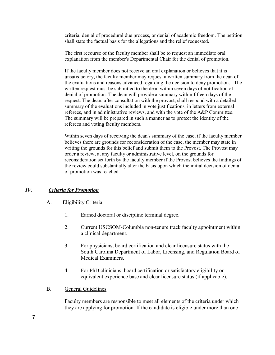criteria, denial of procedural due process, or denial of academic freedom. The petition shall state the factual basis for the allegations and the relief requested.

The first recourse of the faculty member shall be to request an immediate oral explanation from the member's Departmental Chair for the denial of promotion.

If the faculty member does not receive an oral explanation or believes that it is unsatisfactory, the faculty member may request a written summary from the dean of the evaluations and reasons advanced regarding the decision to deny promotion. The written request must be submitted to the dean within seven days of notification of denial of promotion. The dean will provide a summary within fifteen days of the request. The dean, after consultation with the provost, shall respond with a detailed summary of the evaluations included in vote justifications, in letters from external referees, and in administrative reviews, and with the vote of the A&P Committee. The summary will be prepared in such a manner as to protect the identity of the referees and voting faculty members.

Within seven days of receiving the dean's summary of the case, if the faculty member believes there are grounds for reconsideration of the case, the member may state in writing the grounds for this belief and submit them to the Provost. The Provost may order a review, at any faculty or administrative level, on the grounds for reconsideration set forth by the faculty member if the Provost believes the findings of the review could substantially alter the basis upon which the initial decision of denial of promotion was reached.

# *IV. Criteria for Promotion*

#### A. Eligibility Criteria

- 1. Earned doctoral or discipline terminal degree.
- 2. Current USCSOM-Columbia non-tenure track faculty appointment within a clinical department.
- 3. For physicians, board certification and clear licensure status with the South Carolina Department of Labor, Licensing, and Regulation Board of Medical Examiners.
- 4. For PhD clinicians, board certification or satisfactory eligibility or equivalent experience base and clear licensure status (if applicable).
- B. General Guidelines

Faculty members are responsible to meet all elements of the criteria under which they are applying for promotion. If the candidate is eligible under more than one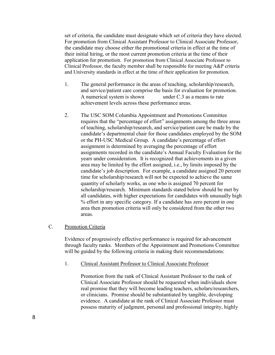set of criteria, the candidate must designate which set of criteria they have elected. For promotion from Clinical Assistant Professor to Clinical Associate Professor, the candidate may choose either the promotional criteria in effect at the time of their initial hiring, or the most current promotion criteria at the time of their application for promotion. For promotion from Clinical Associate Professor to Clinical Professor, the faculty member shall be responsible for meeting A&P criteria and University standards in effect at the time of their application for promotion.

- 1. The general performance in the areas of teaching, scholarship/research, and service/patient care comprise the basis for evaluation for promotion. A numerical system is shown under C.3 as a means to rate achievement levels across these performance areas.
- 2. The USC SOM Columbia Appointment and Promotions Committee requires that the "percentage of effort" assignments among the three areas of teaching, scholarship/research, and service/patient care be made by the candidate's departmental chair for those candidates employed by the SOM or the PH-USC Medical Group. A candidate's percentage of effort assignment is determined by averaging the percentage of effort assignments recorded in the candidate's Annual Faculty Evaluation for the years under consideration. It is recognized that achievements in a given area may be limited by the effort assigned, i.e., by limits imposed by the candidate's job description. For example, a candidate assigned 20 percent time for scholarship/research will not be expected to achieve the same quantity of scholarly works, as one who is assigned 70 percent for scholarship/research. Minimum standards stated below should be met by all candidates, with higher expectations for candidates with unusually high % effort in any specific category. If a candidate has zero percent in one area then promotion criteria will only be considered from the other two areas.

#### C. Promotion Criteria

Evidence of progressively effective performance is required for advancement through faculty ranks. Members of the Appointment and Promotions Committee will be guided by the following criteria in making their recommendations:

1. Clinical Assistant Professor to Clinical Associate Professor

Promotion from the rank of Clinical Assistant Professor to the rank of Clinical Associate Professor should be requested when individuals show real promise that they will become leading teachers, scholars/researchers, or clinicians. Promise should be substantiated by tangible, developing evidence. A candidate at the rank of Clinical Associate Professor must possess maturity of judgment, personal and professional integrity, highly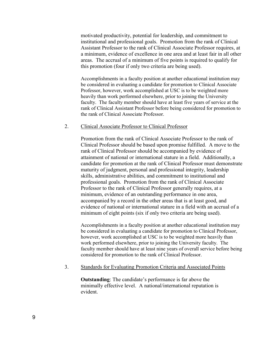motivated productivity, potential for leadership, and commitment to institutional and professional goals. Promotion from the rank of Clinical Assistant Professor to the rank of Clinical Associate Professor requires, at a minimum, evidence of excellence in one area and at least fair in all other areas. The accrual of a minimum of five points is required to qualify for this promotion (four if only two criteria are being used).

Accomplishments in a faculty position at another educational institution may be considered in evaluating a candidate for promotion to Clinical Associate Professor, however, work accomplished at USC is to be weighted more heavily than work performed elsewhere, prior to joining the University faculty. The faculty member should have at least five years of service at the rank of Clinical Assistant Professor before being considered for promotion to the rank of Clinical Associate Professor.

#### 2. Clinical Associate Professor to Clinical Professor

Promotion from the rank of Clinical Associate Professor to the rank of Clinical Professor should be based upon promise fulfilled. A move to the rank of Clinical Professor should be accompanied by evidence of attainment of national or international stature in a field. Additionally, a candidate for promotion at the rank of Clinical Professor must demonstrate maturity of judgment, personal and professional integrity, leadership skills, administrative abilities, and commitment to institutional and professional goals. Promotion from the rank of Clinical Associate Professor to the rank of Clinical Professor generally requires, at a minimum, evidence of an outstanding performance in one area, accompanied by a record in the other areas that is at least good, and evidence of national or international stature in a field with an accrual of a minimum of eight points (six if only two criteria are being used).

Accomplishments in a faculty position at another educational institution may be considered in evaluating a candidate for promotion to Clinical Professor, however, work accomplished at USC is to be weighted more heavily than work performed elsewhere, prior to joining the University faculty. The faculty member should have at least nine years of overall service before being considered for promotion to the rank of Clinical Professor.

#### 3. Standards for Evaluating Promotion Criteria and Associated Points

**Outstanding**: The candidate's performance is far above the minimally effective level. A national/international reputation is evident.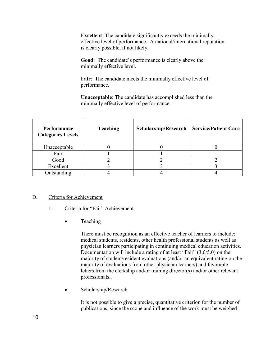**Excellent**: The candidate significantly exceeds the minimally effective level of performance. A national/international reputation is clearly possible, if not likely.

**Good**: The candidate's performance is clearly above the minimally effective level.

**Fair**: The candidate meets the minimally effective level of performance.

**Unacceptable**: The candidate has accomplished less than the minimally effective level of performance.

| Performance<br><b>Categories Levels</b> | <b>Teaching</b> | <b>Scholarship/Research</b> | <b>Service/Patient Care</b> |
|-----------------------------------------|-----------------|-----------------------------|-----------------------------|
| Unacceptable                            |                 |                             |                             |
| Fair                                    |                 |                             |                             |
| Good                                    |                 |                             |                             |
| Excellent                               |                 |                             |                             |
| Outstanding                             |                 |                             |                             |

### D. Criteria for Achievement

### 1. Criteria for "Fair" Achievement

• Teaching

There must be recognition as an effective teacher of learners to include: medical students, residents, other health professional students as well as physician learners participating in continuing medical education activities. Documentation will include a rating of at least "Fair" (3.0/5.0) on the majority of student/resident evaluations (and/or an equivalent rating on the majority of evaluations from other physician learners) and favorable letters from the clerkship and/or training director(s) and/or other relevant professionals..

• Scholarship/Research

It is not possible to give a precise, quantitative criterion for the number of publications, since the scope and influence of the work must be weighed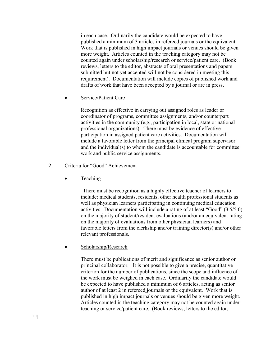in each case. Ordinarily the candidate would be expected to have published a minimum of 3 articles in refereed journals or the equivalent. Work that is published in high impact journals or venues should be given more weight. Articles counted in the teaching category may not be counted again under scholarship/research or service/patient care. (Book reviews, letters to the editor, abstracts of oral presentations and papers submitted but not yet accepted will not be considered in meeting this requirement). Documentation will include copies of published work and drafts of work that have been accepted by a journal or are in press.

Service/Patient Care

Recognition as effective in carrying out assigned roles as leader or coordinator of programs, committee assignments, and/or counterpart activities in the community (e.g., participation in local, state or national professional organizations). There must be evidence of effective participation in assigned patient care activities. Documentation will include a favorable letter from the principal clinical program supervisor and the individual(s) to whom the candidate is accountable for committee work and public service assignments.

### 2. Criteria for "Good" Achievement

**Teaching** 

There must be recognition as a highly effective teacher of learners to include: medical students, residents, other health professional students as well as physician learners participating in continuing medical education activities. Documentation will include a rating of at least "Good" (3.5/5.0) on the majority of student/resident evaluations (and/or an equivalent rating on the majority of evaluations from other physician learners) and favorable letters from the clerkship and/or training director(s) and/or other relevant professionals.

Scholarship/Research

There must be publications of merit and significance as senior author or principal collaborator. It is not possible to give a precise, quantitative criterion for the number of publications, since the scope and influence of the work must be weighed in each case. Ordinarily the candidate would be expected to have published a minimum of 6 articles, acting as senior author of at least 2 in refereed journals or the equivalent. Work that is published in high impact journals or venues should be given more weight. Articles counted in the teaching category may not be counted again under teaching or service/patient care. (Book reviews, letters to the editor,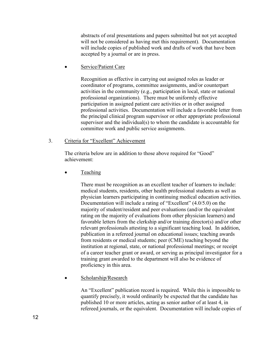abstracts of oral presentations and papers submitted but not yet accepted will not be considered as having met this requirement). Documentation will include copies of published work and drafts of work that have been accepted by a journal or are in press.

Service/Patient Care

Recognition as effective in carrying out assigned roles as leader or coordinator of programs, committee assignments, and/or counterpart activities in the community (e.g., participation in local, state or national professional organizations). There must be uniformly effective participation in assigned patient care activities or in other assigned professional activities. Documentation will include a favorable letter from the principal clinical program supervisor or other appropriate professional supervisor and the individual(s) to whom the candidate is accountable for committee work and public service assignments.

# 3. Criteria for "Excellent" Achievement

The criteria below are in addition to those above required for "Good" achievement:

**Teaching** 

There must be recognition as an excellent teacher of learners to include: medical students, residents, other health professional students as well as physician learners participating in continuing medical education activities. Documentation will include a rating of "Excellent" (4.0/5.0) on the majority of student/resident and peer evaluations (and/or the equivalent rating on the majority of evaluations from other physician learners) and favorable letters from the clerkship and/or training director(s) and/or other relevant professionals attesting to a significant teaching load. In addition, publication in a refereed journal on educational issues; teaching awards from residents or medical students; peer (CME) teaching beyond the institution at regional, state, or national professional meetings; or receipt of a career teacher grant or award, or serving as principal investigator for a training grant awarded to the department will also be evidence of proficiency in this area.

Scholarship/Research

An "Excellent" publication record is required. While this is impossible to quantify precisely, it would ordinarily be expected that the candidate has published 10 or more articles, acting as senior author of at least 4, in refereed journals, or the equivalent. Documentation will include copies of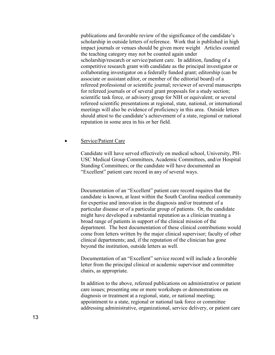publications and favorable review of the significance of the candidate's scholarship in outside letters of reference. Work that is published in high impact journals or venues should be given more weight Articles counted the teaching category may not be counted again under scholarship/research or service/patient care. In addition, funding of a competitive research grant with candidate as the principal investigator or collaborating investigator on a federally funded grant; editorship (can be associate or assistant editor, or member of the editorial board) of a refereed professional or scientific journal; reviewer of several manuscripts for refereed journals or of several grant proposals for a study section; scientific task force, or advisory group for NIH or equivalent; or several refereed scientific presentations at regional, state, national, or international meetings will also be evidence of proficiency in this area. Outside letters should attest to the candidate's achievement of a state, regional or national reputation in some area in his or her field.

#### Service/Patient Care

Candidate will have served effectively on medical school, University, PH-USC Medical Group Committees, Academic Committees, and/or Hospital Standing Committees; or the candidate will have documented an "Excellent" patient care record in any of several ways.

Documentation of an "Excellent" patient care record requires that the candidate is known, at least within the South Carolina medical community for expertise and innovation in the diagnosis and/or treatment of a particular disease or of a particular group of patients. Or, the candidate might have developed a substantial reputation as a clinician treating a broad range of patients in support of the clinical mission of the department. The best documentation of these clinical contributions would come from letters written by the major clinical supervisor; faculty of other clinical departments; and, if the reputation of the clinician has gone beyond the institution, outside letters as well.

Documentation of an "Excellent" service record will include a favorable letter from the principal clinical or academic supervisor and committee chairs, as appropriate.

In addition to the above, refereed publications on administrative or patient care issues; presenting one or more workshops or demonstrations on diagnosis or treatment at a regional, state, or national meeting; appointment to a state, regional or national task force or committee addressing administrative, organizational, service delivery, or patient care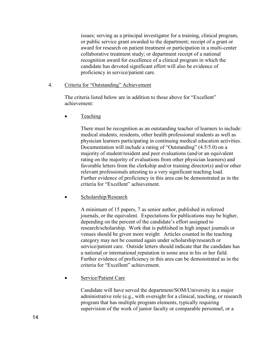issues; serving as a principal investigator for a training, clinical program, or public service grant awarded to the department; receipt of a grant or award for research on patient treatment or participation in a multi-center collaborative treatment study; or department receipt of a national recognition award for excellence of a clinical program in which the candidate has devoted significant effort will also be evidence of proficiency in service/patient care.

## 4. Criteria for "Outstanding" Achievement

The criteria listed below are in addition to those above for "Excellent" achievement:

Teaching

There must be recognition as an outstanding teacher of learners to include: medical students, residents, other health professional students as well as physician learners participating in continuing medical education activities. Documentation will include a rating of "Outstanding" (4.5/5.0) on a majority of student/resident and peer evaluations (and/or an equivalent rating on the majority of evaluations from other physician learners) and favorable letters from the clerkship and/or training director(s) and/or other relevant professionals attesting to a very significant teaching load. Further evidence of proficiency in this area can be demonstrated as in the criteria for "Excellent" achievement.

• Scholarship/Research

A minimum of 15 papers, 7 as senior author, published in refereed journals, or the equivalent. Expectations for publications may be higher, depending on the percent of the candidate's effort assigned to research/scholarship. Work that is published in high impact journals or venues should be given more weight Articles counted in the teaching category may not be counted again under scholarship/research or service/patient care. Outside letters should indicate that the candidate has a national or international reputation in some area in his or her field. Further evidence of proficiency in this area can be demonstrated as in the criteria for "Excellent" achievement.

Service/Patient Care

Candidate will have served the department/SOM/University in a major administrative role (e.g., with oversight for a clinical, teaching, or research program that has multiple program elements, typically requiring supervision of the work of junior faculty or comparable personnel, or a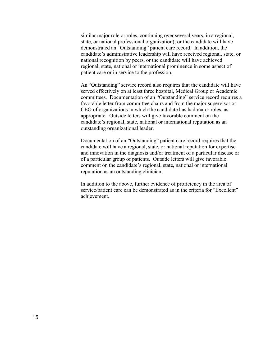similar major role or roles, continuing over several years, in a regional, state, or national professional organization); or the candidate will have demonstrated an "Outstanding" patient care record. In addition, the candidate's administrative leadership will have received regional, state, or national recognition by peers, or the candidate will have achieved regional, state, national or international prominence in some aspect of patient care or in service to the profession.

An "Outstanding" service record also requires that the candidate will have served effectively on at least three hospital, Medical Group or Academic committees. Documentation of an "Outstanding" service record requires a favorable letter from committee chairs and from the major supervisor or CEO of organizations in which the candidate has had major roles, as appropriate. Outside letters will give favorable comment on the candidate's regional, state, national or international reputation as an outstanding organizational leader.

Documentation of an "Outstanding" patient care record requires that the candidate will have a regional, state, or national reputation for expertise and innovation in the diagnosis and/or treatment of a particular disease or of a particular group of patients. Outside letters will give favorable comment on the candidate's regional, state, national or international reputation as an outstanding clinician.

In addition to the above, further evidence of proficiency in the area of service/patient care can be demonstrated as in the criteria for "Excellent" achievement.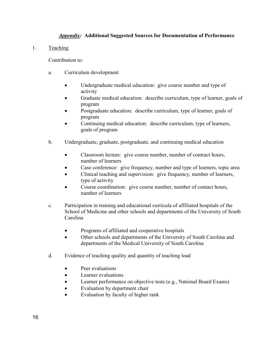# *Appendix:* **Additional Suggested Sources for Documentation of Performance**

1. Teaching

Contribution to:

- a. Curriculum development
	- Undergraduate medical education: give course number and type of activity
	- Graduate medical education: describe curriculum, type of learner, goals of program
	- Postgraduate education: describe curriculum, type of learner, goals of program
	- Continuing medical education: describe curriculum, type of learners, goals of program
- b. Undergraduate, graduate, postgraduate, and continuing medical education
	- Classroom lecture: give course number, number of contract hours, number of learners
	- Case conference: give frequency, number and type of learners, topic area
	- Clinical teaching and supervision: give frequency, number of learners, type of activity
	- Course coordination: give course number, number of contact hours, number of learners
- c. Participation in training and educational curricula of affiliated hospitals of the School of Medicine and other schools and departments of the University of South Carolina
	- Programs of affiliated and cooperative hospitals
	- Other schools and departments of the University of South Carolina and departments of the Medical University of South Carolina
- d. Evidence of teaching quality and quantity of teaching load
	- Peer evaluations
	- Learner evaluations
	- Learner performance on objective tests (e.g., National Board Exams)
	- Evaluation by department chair
	- Evaluation by faculty of higher rank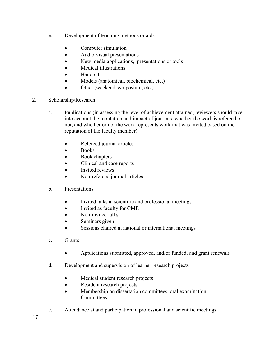- e. Development of teaching methods or aids
	- Computer simulation
	- Audio-visual presentations
	- New media applications, presentations or tools
	- Medical illustrations
	- Handouts
	- Models (anatomical, biochemical, etc.)
	- Other (weekend symposium, etc.)

# 2. Scholarship/Research

- a. Publications (in assessing the level of achievement attained, reviewers should take into account the reputation and impact of journals, whether the work is refereed or not, and whether or not the work represents work that was invited based on the reputation of the faculty member)
	- Refereed journal articles
	- Books
	- Book chapters
	- Clinical and case reports
	- Invited reviews
	- Non-refereed journal articles
- b. Presentations
	- Invited talks at scientific and professional meetings
	- Invited as faculty for CME
	- Non-invited talks
	- Seminars given
	- Sessions chaired at national or international meetings
- c. Grants
	- Applications submitted, approved, and/or funded, and grant renewals
- d. Development and supervision of learner research projects
	- Medical student research projects
	- Resident research projects
	- Membership on dissertation committees, oral examination **Committees**
- e. Attendance at and participation in professional and scientific meetings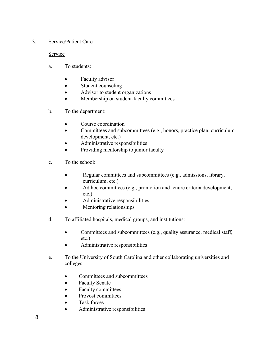# 3. Service/Patient Care

# Service

- a. To students:
	- Faculty advisor
	- Student counseling
	- Advisor to student organizations
	- Membership on student-faculty committees
- b. To the department:
	- Course coordination
	- Committees and subcommittees (e.g., honors, practice plan, curriculum development, etc.)
	- Administrative responsibilities
	- Providing mentorship to junior faculty
- c. To the school:
	- Regular committees and subcommittees (e.g., admissions, library, curriculum, etc.)
	- Ad hoc committees (e.g., promotion and tenure criteria development, etc.)
	- Administrative responsibilities
	- Mentoring relationships
- d. To affiliated hospitals, medical groups, and institutions:
	- Committees and subcommittees (e.g., quality assurance, medical staff, etc.)
	- Administrative responsibilities
- e. To the University of South Carolina and other collaborating universities and colleges:
	- Committees and subcommittees
	- Faculty Senate
	- Faculty committees
	- Provost committees
	- Task forces
	- Administrative responsibilities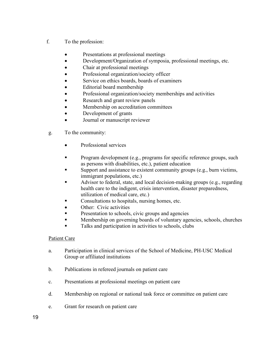- f. To the profession:
	- Presentations at professional meetings
	- Development/Organization of symposia, professional meetings, etc.
	- Chair at professional meetings
	- Professional organization/society officer
	- Service on ethics boards, boards of examiners
	- Editorial board membership
	- Professional organization/society memberships and activities
	- Research and grant review panels
	- Membership on accreditation committees
	- Development of grants
	- Journal or manuscript reviewer
- g. To the community:
	- Professional services
	- Program development (e.g., programs for specific reference groups, such as persons with disabilities, etc.), patient education
	- Support and assistance to existent community groups (e.g., burn victims, immigrant populations, etc.)
	- Advisor to federal, state, and local decision-making groups (e.g., regarding health care to the indigent, crisis intervention, disaster preparedness, utilization of medical care, etc.)
	- Consultations to hospitals, nursing homes, etc.
	- Other: Civic activities
	- Presentation to schools, civic groups and agencies
	- Membership on governing boards of voluntary agencies, schools, churches
	- Talks and participation in activities to schools, clubs

# Patient Care

- a. Participation in clinical services of the School of Medicine, PH-USC Medical Group or affiliated institutions
- b. Publications in refereed journals on patient care
- c. Presentations at professional meetings on patient care
- d. Membership on regional or national task force or committee on patient care
- e. Grant for research on patient care